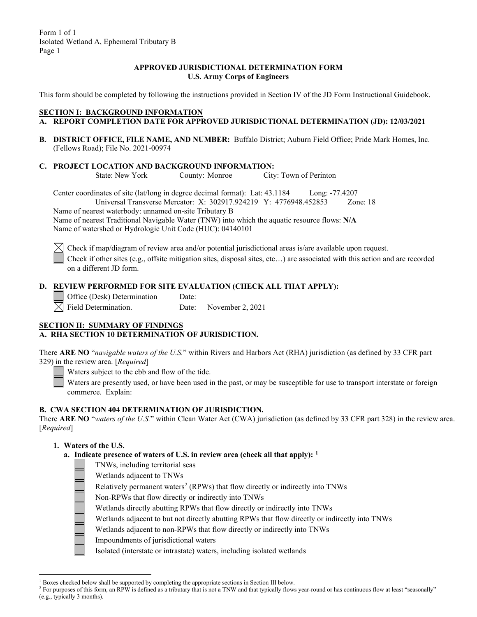#### **APPROVED JURISDICTIONAL DETERMINATION FORM U.S. Army Corps of Engineers**

This form should be completed by following the instructions provided in Section IV of the JD Form Instructional Guidebook.

### **SECTION I: BACKGROUND INFORMATION**

- **A. REPORT COMPLETION DATE FOR APPROVED JURISDICTIONAL DETERMINATION (JD): 12/03/2021**
- **B. DISTRICT OFFICE, FILE NAME, AND NUMBER:** Buffalo District; Auburn Field Office; Pride Mark Homes, Inc. (Fellows Road); File No. 2021-00974
- **C. PROJECT LOCATION AND BACKGROUND INFORMATION:**

County: Monroe City: Town of Perinton

Center coordinates of site (lat/long in degree decimal format): Lat: 43.1184 Long: -77.4207 Universal Transverse Mercator: X: 302917.924219 Y: 4776948.452853 Zone: 18 Name of nearest waterbody: unnamed on-site Tributary B

Name of nearest Traditional Navigable Water (TNW) into which the aquatic resource flows: **N/A** Name of watershed or Hydrologic Unit Code (HUC): 04140101

Check if map/diagram of review area and/or potential jurisdictional areas is/are available upon request.

Check if other sites (e.g., offsite mitigation sites, disposal sites, etc…) are associated with this action and are recorded on a different JD form.

## **D. REVIEW PERFORMED FOR SITE EVALUATION (CHECK ALL THAT APPLY):**

Office (Desk) Determination Date:

 $\bowtie$  Field Determination. Date: November 2, 2021

#### **SECTION II: SUMMARY OF FINDINGS A. RHA SECTION 10 DETERMINATION OF JURISDICTION.**

There **ARE NO** "*navigable waters of the U.S.*" within Rivers and Harbors Act (RHA) jurisdiction (as defined by 33 CFR part 329) in the review area. [*Required*]

Waters subject to the ebb and flow of the tide.

Waters are presently used, or have been used in the past, or may be susceptible for use to transport interstate or foreign commerce. Explain:

#### **B. CWA SECTION 404 DETERMINATION OF JURISDICTION.**

There **ARE NO** "*waters of the U.S.*" within Clean Water Act (CWA) jurisdiction (as defined by 33 CFR part 328) in the review area. [*Required*]

## **1. Waters of the U.S.**

- **a. Indicate presence of waters of U.S. in review area (check all that apply): [1](#page-0-0)**
	- TNWs, including territorial seas
		- Wetlands adjacent to TNWs

Relatively permanent waters<sup>[2](#page-0-1)</sup> (RPWs) that flow directly or indirectly into TNWs

- Non-RPWs that flow directly or indirectly into TNWs
- Wetlands directly abutting RPWs that flow directly or indirectly into TNWs
- Wetlands adjacent to but not directly abutting RPWs that flow directly or indirectly into TNWs
- Wetlands adjacent to non-RPWs that flow directly or indirectly into TNWs
- Impoundments of jurisdictional waters

Isolated (interstate or intrastate) waters, including isolated wetlands

<span id="page-0-0"></span> $1$  Boxes checked below shall be supported by completing the appropriate sections in Section III below.

<span id="page-0-1"></span><sup>&</sup>lt;sup>2</sup> For purposes of this form, an RPW is defined as a tributary that is not a TNW and that typically flows year-round or has continuous flow at least "seasonally" (e.g., typically 3 months).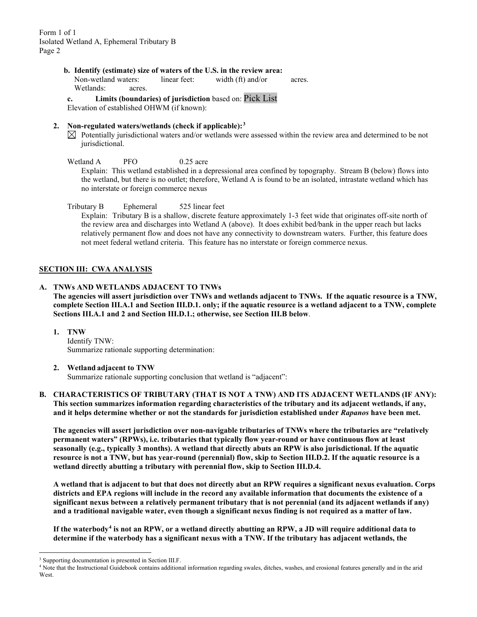- **b. Identify (estimate) size of waters of the U.S. in the review area:**
	- Non-wetland waters: linear feet: width (ft) and/or acres. Wetlands: acres.

**c. Limits (boundaries) of jurisdiction** based on: Pick List Elevation of established OHWM (if known):

#### **2. Non-regulated waters/wetlands (check if applicable):[3](#page-1-0)**

 $\boxtimes$  Potentially jurisdictional waters and/or wetlands were assessed within the review area and determined to be not jurisdictional.

Wetland A PFO 0.25 acre

Explain: This wetland established in a depressional area confined by topography. Stream B (below) flows into the wetland, but there is no outlet; therefore, Wetland A is found to be an isolated, intrastate wetland which has no interstate or foreign commerce nexus

Tributary B Ephemeral 525 linear feet

Explain: Tributary B is a shallow, discrete feature approximately 1-3 feet wide that originates off-site north of the review area and discharges into Wetland A (above). It does exhibit bed/bank in the upper reach but lacks relatively permanent flow and does not have any connectivity to downstream waters. Further, this feature does not meet federal wetland criteria. This feature has no interstate or foreign commerce nexus.

## **SECTION III: CWA ANALYSIS**

## **A. TNWs AND WETLANDS ADJACENT TO TNWs**

**The agencies will assert jurisdiction over TNWs and wetlands adjacent to TNWs. If the aquatic resource is a TNW, complete Section III.A.1 and Section III.D.1. only; if the aquatic resource is a wetland adjacent to a TNW, complete Sections III.A.1 and 2 and Section III.D.1.; otherwise, see Section III.B below**.

**1. TNW** 

Identify TNW: Summarize rationale supporting determination:

## **2. Wetland adjacent to TNW**

Summarize rationale supporting conclusion that wetland is "adjacent":

**B. CHARACTERISTICS OF TRIBUTARY (THAT IS NOT A TNW) AND ITS ADJACENT WETLANDS (IF ANY): This section summarizes information regarding characteristics of the tributary and its adjacent wetlands, if any, and it helps determine whether or not the standards for jurisdiction established under** *Rapanos* **have been met.** 

**The agencies will assert jurisdiction over non-navigable tributaries of TNWs where the tributaries are "relatively permanent waters" (RPWs), i.e. tributaries that typically flow year-round or have continuous flow at least seasonally (e.g., typically 3 months). A wetland that directly abuts an RPW is also jurisdictional. If the aquatic resource is not a TNW, but has year-round (perennial) flow, skip to Section III.D.2. If the aquatic resource is a wetland directly abutting a tributary with perennial flow, skip to Section III.D.4.** 

**A wetland that is adjacent to but that does not directly abut an RPW requires a significant nexus evaluation. Corps districts and EPA regions will include in the record any available information that documents the existence of a significant nexus between a relatively permanent tributary that is not perennial (and its adjacent wetlands if any) and a traditional navigable water, even though a significant nexus finding is not required as a matter of law.**

**If the waterbody[4](#page-1-1) is not an RPW, or a wetland directly abutting an RPW, a JD will require additional data to determine if the waterbody has a significant nexus with a TNW. If the tributary has adjacent wetlands, the** 

<span id="page-1-0"></span><sup>&</sup>lt;sup>3</sup> Supporting documentation is presented in Section III.F.

<span id="page-1-1"></span><sup>4</sup> Note that the Instructional Guidebook contains additional information regarding swales, ditches, washes, and erosional features generally and in the arid **West**.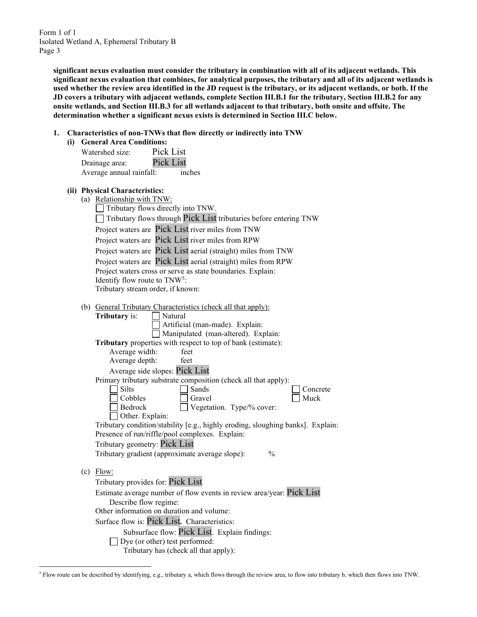> **significant nexus evaluation must consider the tributary in combination with all of its adjacent wetlands. This significant nexus evaluation that combines, for analytical purposes, the tributary and all of its adjacent wetlands is used whether the review area identified in the JD request is the tributary, or its adjacent wetlands, or both. If the JD covers a tributary with adjacent wetlands, complete Section III.B.1 for the tributary, Section III.B.2 for any onsite wetlands, and Section III.B.3 for all wetlands adjacent to that tributary, both onsite and offsite. The determination whether a significant nexus exists is determined in Section III.C below.**

- **1. Characteristics of non-TNWs that flow directly or indirectly into TNW**
	- **(i) General Area Conditions:**

| Watershed size:          | Pick List        |        |
|--------------------------|------------------|--------|
| Drainage area:           | <b>Pick List</b> |        |
| Average annual rainfall: |                  | inches |

## **(ii) Physical Characteristics:**

| □ Tributary flows through Pick List tributaries before entering TNW |
|---------------------------------------------------------------------|
|                                                                     |
|                                                                     |
| Project waters are Pick List aerial (straight) miles from TNW       |
| Project waters are Pick List aerial (straight) miles from RPW       |
|                                                                     |
|                                                                     |
|                                                                     |
|                                                                     |

(b) General Tributary Characteristics (check all that apply):

|     | <b>Tributary</b> is:<br>Natural                                                 |
|-----|---------------------------------------------------------------------------------|
|     | Artificial (man-made). Explain:                                                 |
|     | Manipulated (man-altered). Explain:                                             |
|     | Tributary properties with respect to top of bank (estimate):                    |
|     | Average width:<br>feet                                                          |
|     | Average depth:<br>feet                                                          |
|     | Average side slopes: Pick List                                                  |
|     | Primary tributary substrate composition (check all that apply):                 |
|     | <b>Silts</b><br>Sands<br>Concrete                                               |
|     | Cobbles<br>Muck<br>Gravel                                                       |
|     | <b>Bedrock</b><br>Vegetation. Type/% cover:                                     |
|     | Other. Explain:                                                                 |
|     | Tributary condition/stability [e.g., highly eroding, sloughing banks]. Explain: |
|     | Presence of run/riffle/pool complexes. Explain:                                 |
|     | Tributary geometry: Pick List                                                   |
|     | Tributary gradient (approximate average slope):<br>$\frac{0}{0}$                |
|     |                                                                                 |
| (c) | Flow:                                                                           |
|     | Tributary provides for: Pick List                                               |
|     | Estimate average number of flow events in review area/year: Pick List           |
|     | Describe flow regime:                                                           |
|     | Other information on duration and volume:                                       |
|     | Surface flow is: Pick List. Characteristics:                                    |
|     | Subsurface flow: Pick List. Explain findings:                                   |
|     | Dye (or other) test performed:                                                  |
|     | Tributary has (check all that apply):                                           |

<span id="page-2-0"></span><sup>5</sup> Flow route can be described by identifying, e.g., tributary a, which flows through the review area, to flow into tributary b, which then flows into TNW.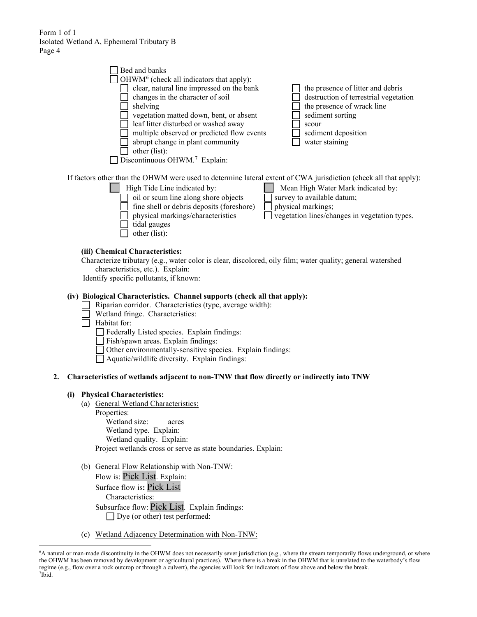|    | Bed and banks<br>OHWM <sup>6</sup> (check all indicators that apply):                                                                                 |
|----|-------------------------------------------------------------------------------------------------------------------------------------------------------|
|    | clear, natural line impressed on the bank<br>the presence of litter and debris                                                                        |
|    | destruction of terrestrial vegetation<br>changes in the character of soil<br>the presence of wrack line<br>shelving                                   |
|    | vegetation matted down, bent, or absent<br>sediment sorting                                                                                           |
|    | leaf litter disturbed or washed away<br>scour                                                                                                         |
|    | multiple observed or predicted flow events<br>sediment deposition<br>abrupt change in plant community<br>water staining                               |
|    | other (list):                                                                                                                                         |
|    | Discontinuous OHWM. <sup>7</sup> Explain:                                                                                                             |
|    | If factors other than the OHWM were used to determine lateral extent of CWA jurisdiction (check all that apply):                                      |
|    | High Tide Line indicated by:<br>Mean High Water Mark indicated by:                                                                                    |
|    | oil or scum line along shore objects<br>survey to available datum;                                                                                    |
|    | fine shell or debris deposits (foreshore)<br>physical markings;<br>physical markings/characteristics<br>vegetation lines/changes in vegetation types. |
|    | tidal gauges                                                                                                                                          |
|    | other (list):                                                                                                                                         |
|    | (iii) Chemical Characteristics:                                                                                                                       |
|    | Characterize tributary (e.g., water color is clear, discolored, oily film; water quality; general watershed                                           |
|    | characteristics, etc.). Explain:<br>Identify specific pollutants, if known:                                                                           |
|    |                                                                                                                                                       |
|    | (iv) Biological Characteristics. Channel supports (check all that apply):                                                                             |
|    | Riparian corridor. Characteristics (type, average width):<br>Wetland fringe. Characteristics:                                                         |
|    | Habitat for:                                                                                                                                          |
|    | Federally Listed species. Explain findings:                                                                                                           |
|    | Fish/spawn areas. Explain findings:<br>Other environmentally-sensitive species. Explain findings:                                                     |
|    | Aquatic/wildlife diversity. Explain findings:                                                                                                         |
| 2. | Characteristics of wetlands adjacent to non-TNW that flow directly or indirectly into TNW                                                             |
|    | <b>Physical Characteristics:</b><br>(i)                                                                                                               |
|    | (a) General Wetland Characteristics:                                                                                                                  |
|    | Properties:<br>Wetland size:                                                                                                                          |
|    | acres<br>Wetland type. Explain:                                                                                                                       |
|    | Wetland quality. Explain:                                                                                                                             |
|    | Project wetlands cross or serve as state boundaries. Explain:                                                                                         |
|    | <b>Conoral Flow Polationship with Non TNW.</b>                                                                                                        |

- (b) General Flow Relationship with Non-TNW: Flow is: Pick List. Explain: Surface flow is**:** Pick List Characteristics: Subsurface flow: Pick List. Explain findings: □ Dye (or other) test performed:
- (c) Wetland Adjacency Determination with Non-TNW:

<span id="page-3-1"></span><span id="page-3-0"></span><sup>6</sup> A natural or man-made discontinuity in the OHWM does not necessarily sever jurisdiction (e.g., where the stream temporarily flows underground, or where the OHWM has been removed by development or agricultural practices). Where there is a break in the OHWM that is unrelated to the waterbody's flow regime (e.g., flow over a rock outcrop or through a culvert), the agencies will look for indicators of flow above and below the break. 7 Ibid.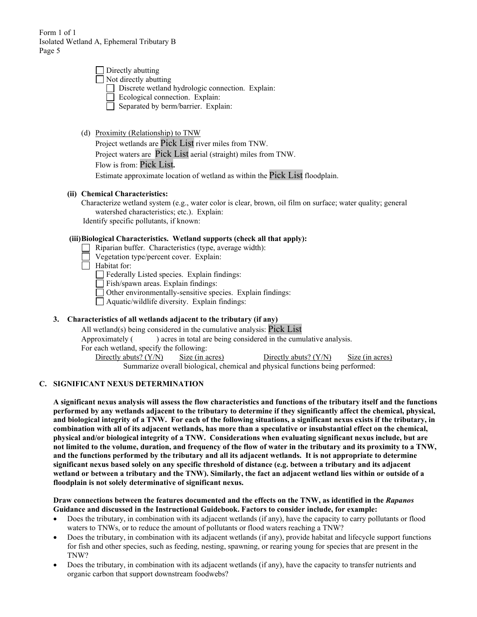| $\Box$ Directly abutting                         |  |
|--------------------------------------------------|--|
| $\Box$ Not directly abutting                     |  |
| Discrete wetland hydrologic connection. Explain: |  |
| Ecological connection. Explain:                  |  |
| Separated by berm/barrier. Explain:              |  |

(d) Proximity (Relationship) to TNW

Project wetlands are Pick List river miles from TNW.

Project waters are Pick List aerial (straight) miles from TNW.

Flow is from: Pick List**.**

Estimate approximate location of wetland as within the Pick List floodplain.

## **(ii) Chemical Characteristics:**

Characterize wetland system (e.g., water color is clear, brown, oil film on surface; water quality; general watershed characteristics; etc.). Explain: Identify specific pollutants, if known:

# **(iii)Biological Characteristics. Wetland supports (check all that apply):**

- Riparian buffer. Characteristics (type, average width):
- Vegetation type/percent cover. Explain:

 $\Box$  Habitat for:

Federally Listed species. Explain findings:

Fish/spawn areas. Explain findings:

 $\Box$  Other environmentally-sensitive species. Explain findings:

Aquatic/wildlife diversity. Explain findings:

## **3. Characteristics of all wetlands adjacent to the tributary (if any)**

All wetland(s) being considered in the cumulative analysis: Pick List Approximately () acres in total are being considered in the cumulative analysis. For each wetland, specify the following: Directly abuts? (Y/N) Size (in acres) Directly abuts? (Y/N) Size (in acres)

Summarize overall biological, chemical and physical functions being performed:

## **C. SIGNIFICANT NEXUS DETERMINATION**

**A significant nexus analysis will assess the flow characteristics and functions of the tributary itself and the functions performed by any wetlands adjacent to the tributary to determine if they significantly affect the chemical, physical, and biological integrity of a TNW. For each of the following situations, a significant nexus exists if the tributary, in combination with all of its adjacent wetlands, has more than a speculative or insubstantial effect on the chemical, physical and/or biological integrity of a TNW. Considerations when evaluating significant nexus include, but are not limited to the volume, duration, and frequency of the flow of water in the tributary and its proximity to a TNW, and the functions performed by the tributary and all its adjacent wetlands. It is not appropriate to determine significant nexus based solely on any specific threshold of distance (e.g. between a tributary and its adjacent wetland or between a tributary and the TNW). Similarly, the fact an adjacent wetland lies within or outside of a floodplain is not solely determinative of significant nexus.** 

**Draw connections between the features documented and the effects on the TNW, as identified in the** *Rapanos* **Guidance and discussed in the Instructional Guidebook. Factors to consider include, for example:**

- Does the tributary, in combination with its adjacent wetlands (if any), have the capacity to carry pollutants or flood waters to TNWs, or to reduce the amount of pollutants or flood waters reaching a TNW?
- Does the tributary, in combination with its adjacent wetlands (if any), provide habitat and lifecycle support functions for fish and other species, such as feeding, nesting, spawning, or rearing young for species that are present in the TNW?
- Does the tributary, in combination with its adjacent wetlands (if any), have the capacity to transfer nutrients and organic carbon that support downstream foodwebs?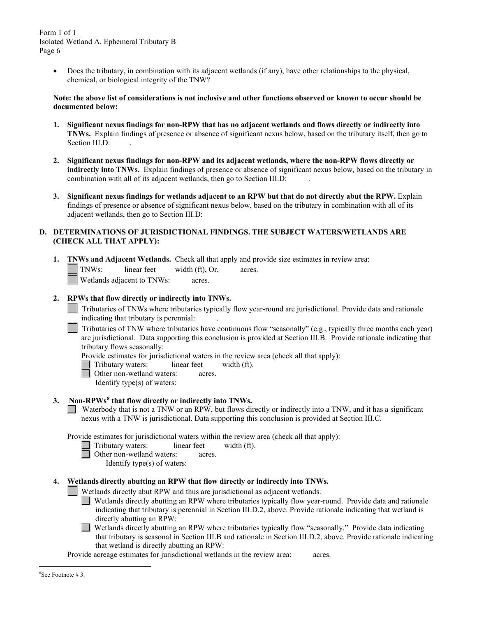> • Does the tributary, in combination with its adjacent wetlands (if any), have other relationships to the physical, chemical, or biological integrity of the TNW?

#### **Note: the above list of considerations is not inclusive and other functions observed or known to occur should be documented below:**

- **1. Significant nexus findings for non-RPW that has no adjacent wetlands and flows directly or indirectly into TNWs.** Explain findings of presence or absence of significant nexus below, based on the tributary itself, then go to Section III.D:
- **2. Significant nexus findings for non-RPW and its adjacent wetlands, where the non-RPW flows directly or indirectly into TNWs.** Explain findings of presence or absence of significant nexus below, based on the tributary in combination with all of its adjacent wetlands, then go to Section III.D: .
- **3. Significant nexus findings for wetlands adjacent to an RPW but that do not directly abut the RPW.** Explain findings of presence or absence of significant nexus below, based on the tributary in combination with all of its adjacent wetlands, then go to Section III.D:

## **D. DETERMINATIONS OF JURISDICTIONAL FINDINGS. THE SUBJECT WATERS/WETLANDS ARE (CHECK ALL THAT APPLY):**

**1. TNWs and Adjacent Wetlands.** Check all that apply and provide size estimates in review area: TNWs: linear feet width (ft), Or, acres. Wetlands adjacent to TNWs: acres.

## **2. RPWs that flow directly or indirectly into TNWs.**

Tributaries of TNWs where tributaries typically flow year-round are jurisdictional. Provide data and rationale indicating that tributary is perennial: .

Tributaries of TNW where tributaries have continuous flow "seasonally" (e.g., typically three months each year) are jurisdictional. Data supporting this conclusion is provided at Section III.B. Provide rationale indicating that tributary flows seasonally:

Provide estimates for jurisdictional waters in the review area (check all that apply):

- Tributary waters: linear feet width (ft).
- Other non-wetland waters: acres.
	- Identify type(s) of waters:

#### **3. Non-RPWs[8](#page-5-0) that flow directly or indirectly into TNWs.**

Waterbody that is not a TNW or an RPW, but flows directly or indirectly into a TNW, and it has a significant nexus with a TNW is jurisdictional. Data supporting this conclusion is provided at Section III.C.

Provide estimates for jurisdictional waters within the review area (check all that apply):

- Tributary waters: linear feet width (ft).
- **d** Other non-wetland waters: acres.

Identify type(s) of waters:

#### **4. Wetlands directly abutting an RPW that flow directly or indirectly into TNWs.**

Wetlands directly abut RPW and thus are jurisdictional as adjacent wetlands.

- Wetlands directly abutting an RPW where tributaries typically flow year-round. Provide data and rationale indicating that tributary is perennial in Section III.D.2, above. Provide rationale indicating that wetland is directly abutting an RPW:
- $\mathcal{L}$ Wetlands directly abutting an RPW where tributaries typically flow "seasonally." Provide data indicating that tributary is seasonal in Section III.B and rationale in Section III.D.2, above. Provide rationale indicating that wetland is directly abutting an RPW:

<span id="page-5-0"></span>Provide acreage estimates for jurisdictional wetlands in the review area: acres.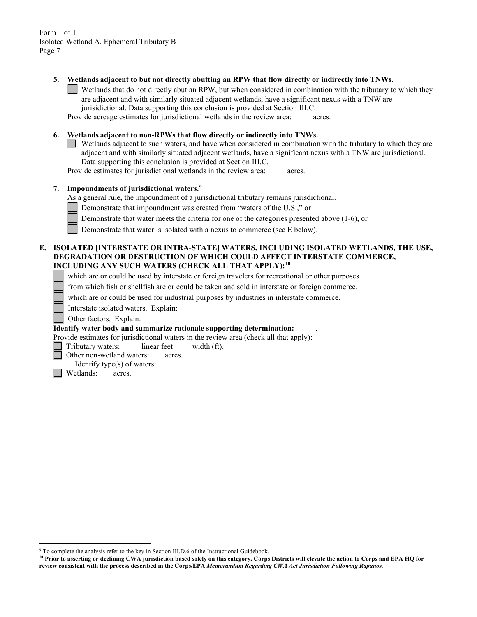**5. Wetlands adjacent to but not directly abutting an RPW that flow directly or indirectly into TNWs.**

Wetlands that do not directly abut an RPW, but when considered in combination with the tributary to which they are adjacent and with similarly situated adjacent wetlands, have a significant nexus with a TNW are jurisidictional. Data supporting this conclusion is provided at Section III.C.

Provide acreage estimates for jurisdictional wetlands in the review area: acres.

#### **6. Wetlands adjacent to non-RPWs that flow directly or indirectly into TNWs.**

Wetlands adjacent to such waters, and have when considered in combination with the tributary to which they are adjacent and with similarly situated adjacent wetlands, have a significant nexus with a TNW are jurisdictional. Data supporting this conclusion is provided at Section III.C.

Provide estimates for jurisdictional wetlands in the review area: acres.

#### **7. Impoundments of jurisdictional waters. [9](#page-6-0)**

As a general rule, the impoundment of a jurisdictional tributary remains jurisdictional.

Demonstrate that impoundment was created from "waters of the U.S.," or

Demonstrate that water meets the criteria for one of the categories presented above (1-6), or

Demonstrate that water is isolated with a nexus to commerce (see E below).

## **E. ISOLATED [INTERSTATE OR INTRA-STATE] WATERS, INCLUDING ISOLATED WETLANDS, THE USE, DEGRADATION OR DESTRUCTION OF WHICH COULD AFFECT INTERSTATE COMMERCE, INCLUDING ANY SUCH WATERS (CHECK ALL THAT APPLY):[10](#page-6-1)**

which are or could be used by interstate or foreign travelers for recreational or other purposes.

from which fish or shellfish are or could be taken and sold in interstate or foreign commerce.

which are or could be used for industrial purposes by industries in interstate commerce.

Interstate isolated waters.Explain:

Other factors.Explain:

#### **Identify water body and summarize rationale supporting determination:** .

Provide estimates for jurisdictional waters in the review area (check all that apply):

Tributary waters: linear feet width (ft).

Other non-wetland waters: acres.

Identify type(s) of waters:

 $\Box$  Wetlands: acres.

<span id="page-6-0"></span><sup>&</sup>lt;sup>9</sup> To complete the analysis refer to the key in Section III.D.6 of the Instructional Guidebook.

<span id="page-6-1"></span>**<sup>10</sup> Prior to asserting or declining CWA jurisdiction based solely on this category, Corps Districts will elevate the action to Corps and EPA HQ for review consistent with the process described in the Corps/EPA** *Memorandum Regarding CWA Act Jurisdiction Following Rapanos.*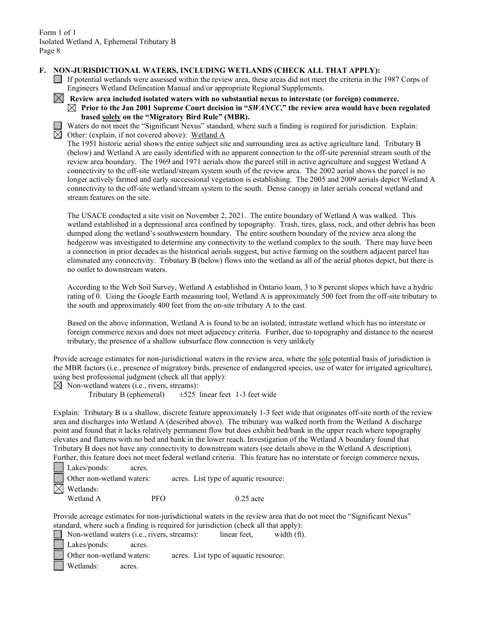#### **F. NON-JURISDICTIONAL WATERS, INCLUDING WETLANDS (CHECK ALL THAT APPLY):**

- If potential wetlands were assessed within the review area, these areas did not meet the criteria in the 1987 Corps of Engineers Wetland Delineation Manual and/or appropriate Regional Supplements.
- **Review area included isolated waters with no substantial nexus to interstate (or foreign) commerce. Prior to the Jan 2001 Supreme Court decision in "***SWANCC***," the review area would have been regulated based solely on the "Migratory Bird Rule" (MBR).**

Waters do not meet the "Significant Nexus" standard, where such a finding is required for jurisdiction. Explain:  $\boxtimes$  Other: (explain, if not covered above): Wetland A

The 1951 historic aerial shows the entire subject site and surrounding area as active agriculture land. Tributary B (below) and Wetland A are easily identified with no apparent connection to the off-site perennial stream south of the review area boundary. The 1969 and 1971 aerials show the parcel still in active agriculture and suggest Wetland A connectivity to the off-site wetland/stream system south of the review area. The 2002 aerial shows the parcel is no longer actively farmed and early successional vegetation is establishing. The 2005 and 2009 aerials depict Wetland A connectivity to the off-site wetland/stream system to the south. Dense canopy in later aerials conceal wetland and stream features on the site.

The USACE conducted a site visit on November 2, 2021. The entire boundary of Wetland A was walked. This wetland established in a depressional area confined by topography. Trash, tires, glass, rock, and other debris has been dumped along the wetland's southwestern boundary. The entire southern boundary of the review area along the hedgerow was investigated to determine any connectivity to the wetland complex to the south. There may have been a connection in prior decades as the historical aerials suggest, but active farming on the southern adjacent parcel has eliminated any connectivity. Tributary B (below) flows into the wetland as all of the aerial photos depict, but there is no outlet to downstream waters.

According to the Web Soil Survey, Wetland A established in Ontario loam, 3 to 8 percent slopes which have a hydric rating of 0. Using the Google Earth measuring tool, Wetland A is approximately 500 feet from the off-site tributary to the south and approximately 400 feet from the on-site tributary A to the east.

Based on the above information, Wetland A is found to be an isolated, intrastate wetland which has no interstate or foreign commerce nexus and does not meet adjacency criteria. Further, due to topography and distance to the nearest tributary, the presence of a shallow subsurface flow connection is very unlikely

Provide acreage estimates for non-jurisdictional waters in the review area, where the sole potential basis of jurisdiction is the MBR factors (i.e., presence of migratory birds, presence of endangered species, use of water for irrigated agriculture), using best professional judgment (check all that apply):

 $\boxtimes$  Non-wetland waters (i.e., rivers, streams):

Tributary B (ephemeral)  $\pm 525$  linear feet 1-3 feet wide

Explain: Tributary B is a shallow, discrete feature approximately 1-3 feet wide that originates off-site north of the review area and discharges into Wetland A (described above). The tributary was walked north from the Wetland A discharge point and found that it lacks relatively permanent flow but does exhibit bed/bank in the upper reach where topography elevates and flattens with no bed and bank in the lower reach. Investigation of the Wetland A boundary found that Tributary B does not have any connectivity to downstream waters (see details above in the Wetland A description). Further, this feature does not meet federal wetland criteria. This feature has no interstate or foreign commerce nexus**.**

| Lakes/ponds:              | acres. |                                       |
|---------------------------|--------|---------------------------------------|
| Other non-wetland waters: |        | acres. List type of aquatic resource: |
| $\boxtimes$ Wetlands:     |        |                                       |
| Wetland A                 | PF∩    | $0.25$ acre                           |

Provide acreage estimates for non-jurisdictional waters in the review area that do not meet the "Significant Nexus" standard, where such a finding is required for jurisdiction (check all that apply):

Non-wetland waters (i.e., rivers, streams): linear feet, width (ft). Lakes/ponds: acres.

Other non-wetland waters: acres. List type of aquatic resource:

Wetlands: acres.